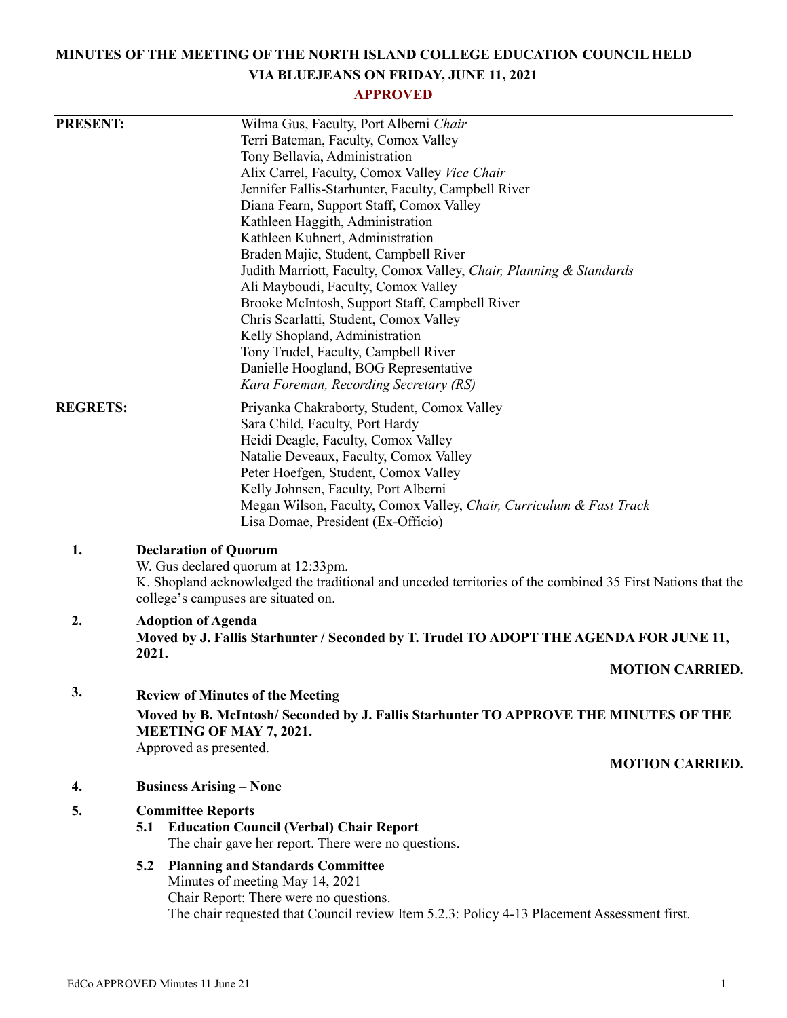# **MINUTES OF THE MEETING OF THE NORTH ISLAND COLLEGE EDUCATION COUNCIL HELD VIA BLUEJEANS ON FRIDAY, JUNE 11, 2021**

# **APPROVED**

| <b>PRESENT:</b> |                                                                                                            | Wilma Gus, Faculty, Port Alberni Chair                                                      |                        |  |
|-----------------|------------------------------------------------------------------------------------------------------------|---------------------------------------------------------------------------------------------|------------------------|--|
|                 |                                                                                                            | Terri Bateman, Faculty, Comox Valley                                                        |                        |  |
|                 |                                                                                                            | Tony Bellavia, Administration                                                               |                        |  |
|                 |                                                                                                            | Alix Carrel, Faculty, Comox Valley Vice Chair                                               |                        |  |
|                 |                                                                                                            | Jennifer Fallis-Starhunter, Faculty, Campbell River                                         |                        |  |
|                 |                                                                                                            | Diana Fearn, Support Staff, Comox Valley                                                    |                        |  |
|                 |                                                                                                            | Kathleen Haggith, Administration                                                            |                        |  |
|                 |                                                                                                            | Kathleen Kuhnert, Administration                                                            |                        |  |
|                 |                                                                                                            | Braden Majic, Student, Campbell River                                                       |                        |  |
|                 |                                                                                                            | Judith Marriott, Faculty, Comox Valley, Chair, Planning & Standards                         |                        |  |
|                 |                                                                                                            | Ali Mayboudi, Faculty, Comox Valley                                                         |                        |  |
|                 |                                                                                                            | Brooke McIntosh, Support Staff, Campbell River                                              |                        |  |
|                 |                                                                                                            | Chris Scarlatti, Student, Comox Valley                                                      |                        |  |
|                 |                                                                                                            | Kelly Shopland, Administration                                                              |                        |  |
|                 |                                                                                                            | Tony Trudel, Faculty, Campbell River                                                        |                        |  |
|                 |                                                                                                            | Danielle Hoogland, BOG Representative                                                       |                        |  |
|                 |                                                                                                            | Kara Foreman, Recording Secretary (RS)                                                      |                        |  |
| <b>REGRETS:</b> |                                                                                                            | Priyanka Chakraborty, Student, Comox Valley                                                 |                        |  |
|                 |                                                                                                            | Sara Child, Faculty, Port Hardy                                                             |                        |  |
|                 |                                                                                                            | Heidi Deagle, Faculty, Comox Valley                                                         |                        |  |
|                 | Natalie Deveaux, Faculty, Comox Valley                                                                     |                                                                                             |                        |  |
|                 |                                                                                                            | Peter Hoefgen, Student, Comox Valley                                                        |                        |  |
|                 |                                                                                                            | Kelly Johnsen, Faculty, Port Alberni                                                        |                        |  |
|                 |                                                                                                            | Megan Wilson, Faculty, Comox Valley, Chair, Curriculum & Fast Track                         |                        |  |
|                 |                                                                                                            | Lisa Domae, President (Ex-Officio)                                                          |                        |  |
|                 |                                                                                                            |                                                                                             |                        |  |
| 1.              |                                                                                                            | <b>Declaration of Quorum</b>                                                                |                        |  |
|                 | W. Gus declared quorum at 12:33pm.                                                                         |                                                                                             |                        |  |
|                 | K. Shopland acknowledged the traditional and unceded territories of the combined 35 First Nations that the |                                                                                             |                        |  |
|                 |                                                                                                            | college's campuses are situated on.                                                         |                        |  |
| 2.              |                                                                                                            | <b>Adoption of Agenda</b>                                                                   |                        |  |
|                 |                                                                                                            | Moved by J. Fallis Starhunter / Seconded by T. Trudel TO ADOPT THE AGENDA FOR JUNE 11,      |                        |  |
|                 | 2021.                                                                                                      |                                                                                             | <b>MOTION CARRIED.</b> |  |
|                 |                                                                                                            |                                                                                             |                        |  |
| 3.              |                                                                                                            | <b>Review of Minutes of the Meeting</b>                                                     |                        |  |
|                 | Moved by B. McIntosh/ Seconded by J. Fallis Starhunter TO APPROVE THE MINUTES OF THE                       |                                                                                             |                        |  |
|                 |                                                                                                            | <b>MEETING OF MAY 7, 2021.</b>                                                              |                        |  |
|                 |                                                                                                            | Approved as presented.                                                                      |                        |  |
|                 |                                                                                                            |                                                                                             | <b>MOTION CARRIED.</b> |  |
| 4.              |                                                                                                            | <b>Business Arising – None</b>                                                              |                        |  |
|                 |                                                                                                            |                                                                                             |                        |  |
| 5.              |                                                                                                            | <b>Committee Reports</b>                                                                    |                        |  |
|                 | 5.1                                                                                                        | <b>Education Council (Verbal) Chair Report</b>                                              |                        |  |
|                 |                                                                                                            | The chair gave her report. There were no questions.                                         |                        |  |
|                 | 5.2                                                                                                        | <b>Planning and Standards Committee</b>                                                     |                        |  |
|                 |                                                                                                            | Minutes of meeting May 14, 2021                                                             |                        |  |
|                 |                                                                                                            | Chair Report: There were no questions.                                                      |                        |  |
|                 |                                                                                                            | The chair requested that Council review Item 5.2.3: Policy 4-13 Placement Assessment first. |                        |  |
|                 |                                                                                                            |                                                                                             |                        |  |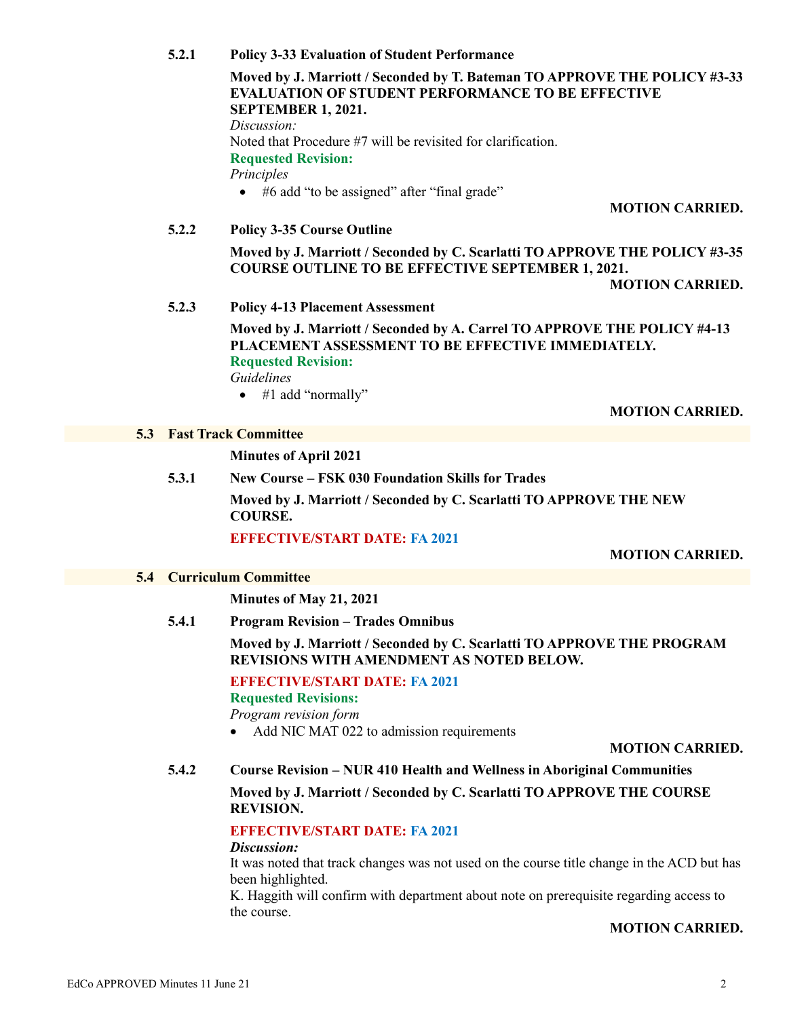#### **5.2.1 Policy 3-33 Evaluation of Student Performance**

#### **Moved by J. Marriott / Seconded by T. Bateman TO APPROVE THE POLICY #3-33 EVALUATION OF STUDENT PERFORMANCE TO BE EFFECTIVE SEPTEMBER 1, 2021.**

*Discussion:* Noted that Procedure #7 will be revisited for clarification. **Requested Revision:** *Principles* • #6 add "to be assigned" after "final grade"

**MOTION CARRIED.**

### **5.2.2 Policy 3-35 Course Outline**

**Moved by J. Marriott / Seconded by C. Scarlatti TO APPROVE THE POLICY #3-35 COURSE OUTLINE TO BE EFFECTIVE SEPTEMBER 1, 2021.**

**MOTION CARRIED.**

### **5.2.3 Policy 4-13 Placement Assessment**

**Moved by J. Marriott / Seconded by A. Carrel TO APPROVE THE POLICY #4-13 PLACEMENT ASSESSMENT TO BE EFFECTIVE IMMEDIATELY. Requested Revision:**

*Guidelines*

• #1 add "normally"

#### **MOTION CARRIED.**

#### **5.3 Fast Track Committee**

**Minutes of April 2021**

#### **5.3.1 New Course – FSK 030 Foundation Skills for Trades**

**Moved by J. Marriott / Seconded by C. Scarlatti TO APPROVE THE NEW COURSE.**

#### **EFFECTIVE/START DATE: FA 2021**

#### **MOTION CARRIED.**

#### **5.4 Curriculum Committee**

**Minutes of May 21, 2021**

**5.4.1 Program Revision – Trades Omnibus**

**Moved by J. Marriott / Seconded by C. Scarlatti TO APPROVE THE PROGRAM REVISIONS WITH AMENDMENT AS NOTED BELOW.**

**EFFECTIVE/START DATE: FA 2021**

**Requested Revisions:**

*Program revision form*

• Add NIC MAT 022 to admission requirements

# **MOTION CARRIED.**

**5.4.2 Course Revision – NUR 410 Health and Wellness in Aboriginal Communities**

**Moved by J. Marriott / Seconded by C. Scarlatti TO APPROVE THE COURSE REVISION.**

# **EFFECTIVE/START DATE: FA 2021**

# *Discussion:*

It was noted that track changes was not used on the course title change in the ACD but has been highlighted.

K. Haggith will confirm with department about note on prerequisite regarding access to the course.

# **MOTION CARRIED.**